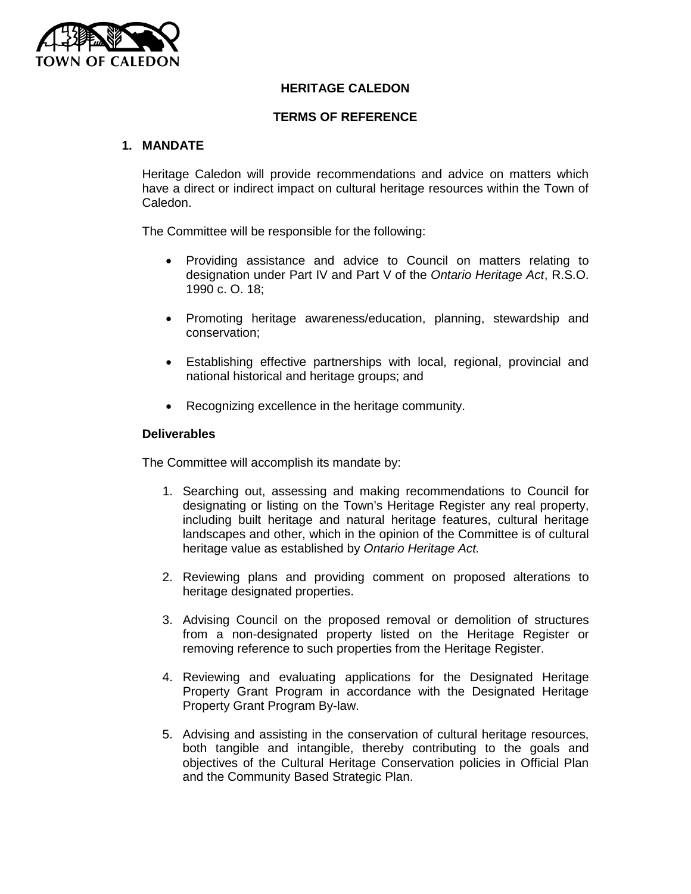

# **HERITAGE CALEDON**

### **TERMS OF REFERENCE**

## **1. MANDATE**

Heritage Caledon will provide recommendations and advice on matters which have a direct or indirect impact on cultural heritage resources within the Town of Caledon.

The Committee will be responsible for the following:

- Providing assistance and advice to Council on matters relating to designation under Part IV and Part V of the *Ontario Heritage Act*, R.S.O. 1990 c. O. 18;
- Promoting heritage awareness/education, planning, stewardship and conservation;
- Establishing effective partnerships with local, regional, provincial and national historical and heritage groups; and
- Recognizing excellence in the heritage community.

#### **Deliverables**

The Committee will accomplish its mandate by:

- 1. Searching out, assessing and making recommendations to Council for designating or listing on the Town's Heritage Register any real property, including built heritage and natural heritage features, cultural heritage landscapes and other, which in the opinion of the Committee is of cultural heritage value as established by *Ontario Heritage Act.*
- 2. Reviewing plans and providing comment on proposed alterations to heritage designated properties.
- 3. Advising Council on the proposed removal or demolition of structures from a non-designated property listed on the Heritage Register or removing reference to such properties from the Heritage Register.
- 4. Reviewing and evaluating applications for the Designated Heritage Property Grant Program in accordance with the Designated Heritage Property Grant Program By-law.
- 5. Advising and assisting in the conservation of cultural heritage resources, both tangible and intangible, thereby contributing to the goals and objectives of the Cultural Heritage Conservation policies in Official Plan and the Community Based Strategic Plan.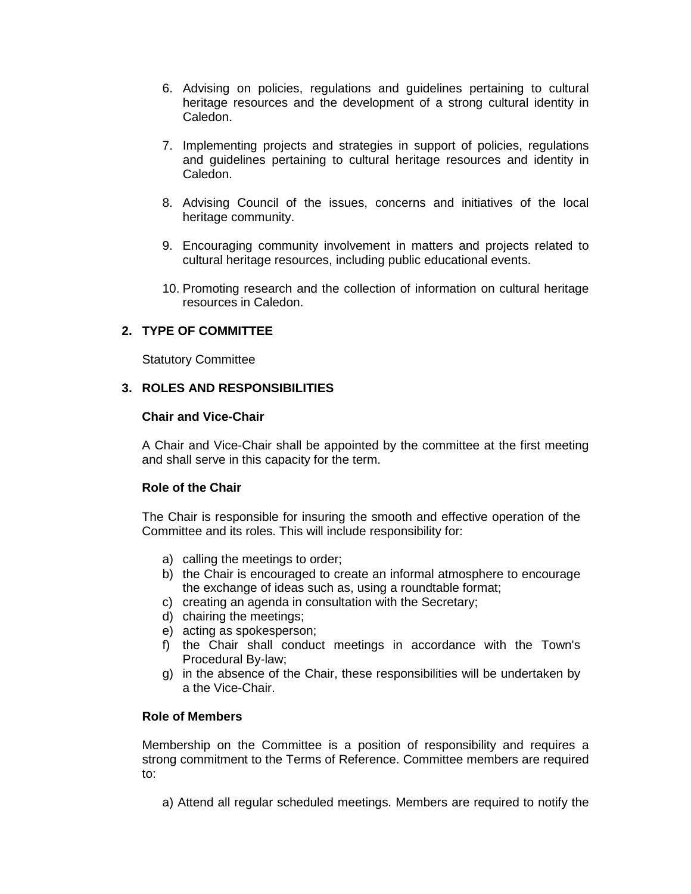- 6. Advising on policies, regulations and guidelines pertaining to cultural heritage resources and the development of a strong cultural identity in Caledon.
- 7. Implementing projects and strategies in support of policies, regulations and guidelines pertaining to cultural heritage resources and identity in Caledon.
- 8. Advising Council of the issues, concerns and initiatives of the local heritage community.
- 9. Encouraging community involvement in matters and projects related to cultural heritage resources, including public educational events.
- 10. Promoting research and the collection of information on cultural heritage resources in Caledon.

# **2. TYPE OF COMMITTEE**

Statutory Committee

# **3. ROLES AND RESPONSIBILITIES**

## **Chair and Vice-Chair**

A Chair and Vice-Chair shall be appointed by the committee at the first meeting and shall serve in this capacity for the term.

# **Role of the Chair**

The Chair is responsible for insuring the smooth and effective operation of the Committee and its roles. This will include responsibility for:

- a) calling the meetings to order;
- b) the Chair is encouraged to create an informal atmosphere to encourage the exchange of ideas such as, using a roundtable format;
- c) creating an agenda in consultation with the Secretary;
- d) chairing the meetings;
- e) acting as spokesperson;
- f) the Chair shall conduct meetings in accordance with the Town's Procedural By-law;
- g) in the absence of the Chair, these responsibilities will be undertaken by a the Vice-Chair.

# **Role of Members**

Membership on the Committee is a position of responsibility and requires a strong commitment to the Terms of Reference. Committee members are required to:

a) Attend all regular scheduled meetings. Members are required to notify the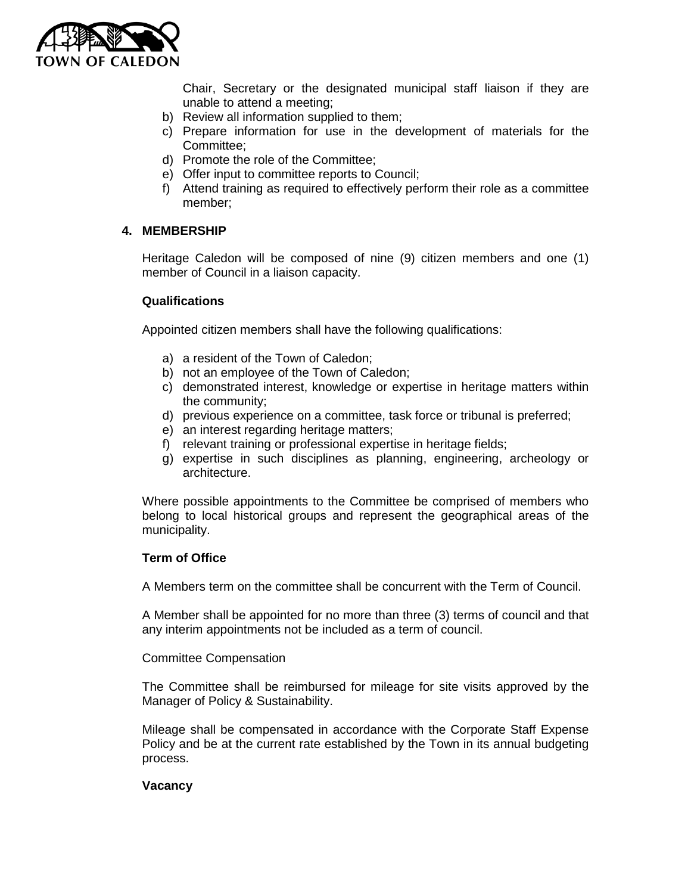

Chair, Secretary or the designated municipal staff liaison if they are unable to attend a meeting;

- b) Review all information supplied to them;
- c) Prepare information for use in the development of materials for the Committee;
- d) Promote the role of the Committee;
- e) Offer input to committee reports to Council;
- f) Attend training as required to effectively perform their role as a committee member;

## **4. MEMBERSHIP**

Heritage Caledon will be composed of nine (9) citizen members and one (1) member of Council in a liaison capacity.

#### **Qualifications**

Appointed citizen members shall have the following qualifications:

- a) a resident of the Town of Caledon;
- b) not an employee of the Town of Caledon;
- c) demonstrated interest, knowledge or expertise in heritage matters within the community;
- d) previous experience on a committee, task force or tribunal is preferred;
- e) an interest regarding heritage matters;
- f) relevant training or professional expertise in heritage fields;
- g) expertise in such disciplines as planning, engineering, archeology or architecture.

Where possible appointments to the Committee be comprised of members who belong to local historical groups and represent the geographical areas of the municipality.

#### **Term of Office**

A Members term on the committee shall be concurrent with the Term of Council.

A Member shall be appointed for no more than three (3) terms of council and that any interim appointments not be included as a term of council.

#### Committee Compensation

The Committee shall be reimbursed for mileage for site visits approved by the Manager of Policy & Sustainability.

Mileage shall be compensated in accordance with the Corporate Staff Expense Policy and be at the current rate established by the Town in its annual budgeting process.

#### **Vacancy**